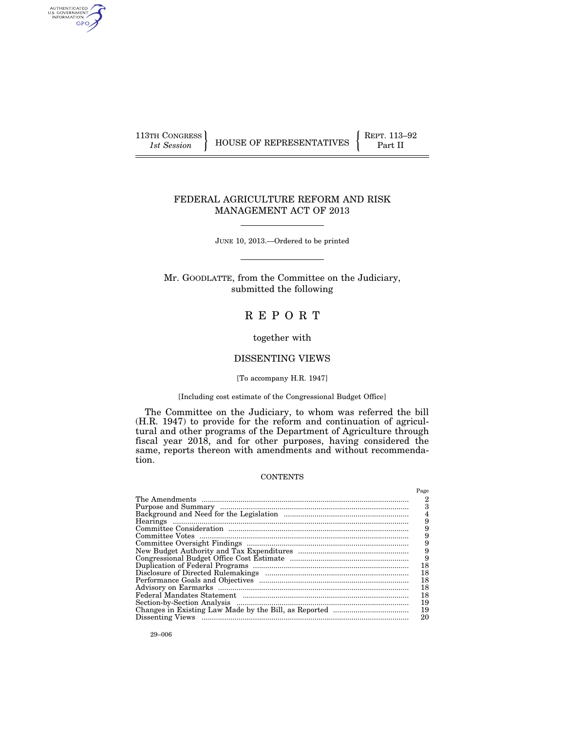AUTHENTICATED<br>U.S. GOVERNMENT<br>INFORMATION GPO

113TH CONGRESS HOUSE OF REPRESENTATIVES **REPRESENTALL** Part II

Page

#### FEDERAL AGRICULTURE REFORM AND RISK MANAGEMENT ACT OF 2013

JUNE 10, 2013.—Ordered to be printed

Mr. GOODLATTE, from the Committee on the Judiciary, submitted the following

# R E P O R T

#### together with

#### DISSENTING VIEWS

#### [To accompany H.R. 1947]

#### [Including cost estimate of the Congressional Budget Office]

The Committee on the Judiciary, to whom was referred the bill (H.R. 1947) to provide for the reform and continuation of agricultural and other programs of the Department of Agriculture through fiscal year 2018, and for other purposes, having considered the same, reports thereon with amendments and without recommendation.

#### **CONTENTS**

| 9  |
|----|
| 9  |
| 18 |
| 18 |
| 18 |
| 18 |
| 18 |
| 19 |
| 19 |
| 20 |
|    |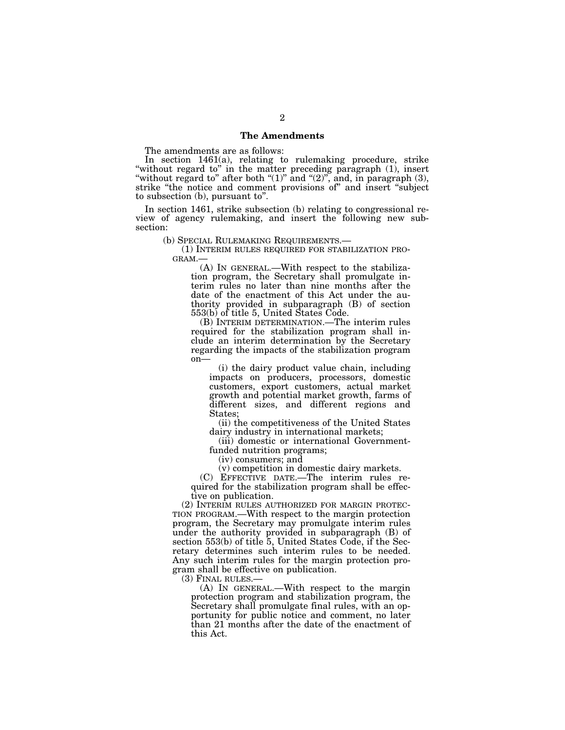#### **The Amendments**

The amendments are as follows:

In section 1461(a), relating to rulemaking procedure, strike ''without regard to'' in the matter preceding paragraph (1), insert "without regard to" after both " $(1)$ " and " $(2)$ ", and, in paragraph  $(3)$ , strike "the notice and comment provisions of" and insert "subject" to subsection (b), pursuant to''.

In section 1461, strike subsection (b) relating to congressional review of agency rulemaking, and insert the following new subsection:

(b) SPECIAL RULEMAKING REQUIREMENTS.—<br>
(1) INTERIM RULES REQUIRED FOR STABILIZATION PRO-<br>
GRAM.—

(A) IN GENERAL.—With respect to the stabilization program, the Secretary shall promulgate interim rules no later than nine months after the date of the enactment of this Act under the authority provided in subparagraph (B) of section 553(b) of title 5, United States Code.

(B) INTERIM DETERMINATION.—The interim rules required for the stabilization program shall include an interim determination by the Secretary regarding the impacts of the stabilization program on—

(i) the dairy product value chain, including impacts on producers, processors, domestic customers, export customers, actual market growth and potential market growth, farms of different sizes, and different regions and States;

(ii) the competitiveness of the United States dairy industry in international markets;

(iii) domestic or international Governmentfunded nutrition programs;

(iv) consumers; and

(v) competition in domestic dairy markets.

(C) EFFECTIVE DATE.—The interim rules required for the stabilization program shall be effective on publication.

(2) INTERIM RULES AUTHORIZED FOR MARGIN PROTEC- TION PROGRAM.—With respect to the margin protection program, the Secretary may promulgate interim rules under the authority provided in subparagraph (B) of section 553(b) of title 5, United States Code, if the Secretary determines such interim rules to be needed. Any such interim rules for the margin protection program shall be effective on publication.

(3) FINAL RULES.—

(A) IN GENERAL.—With respect to the margin protection program and stabilization program, the Secretary shall promulgate final rules, with an opportunity for public notice and comment, no later than 21 months after the date of the enactment of this Act.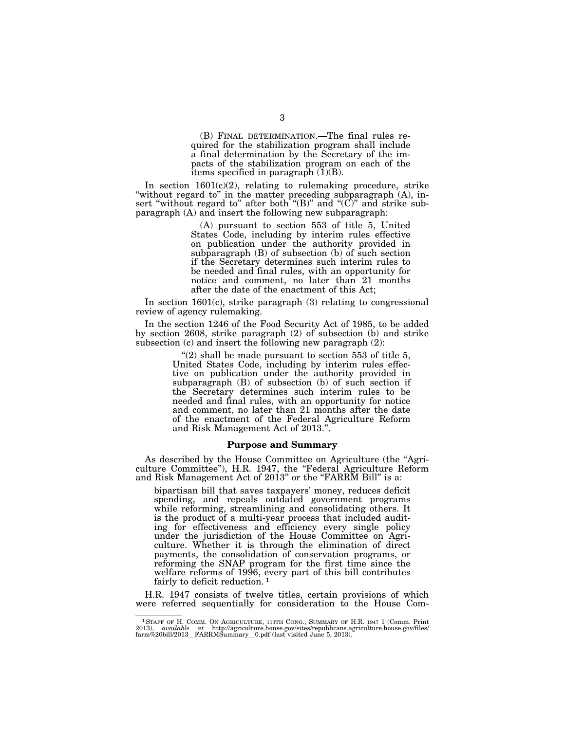(B) FINAL DETERMINATION.—The final rules required for the stabilization program shall include a final determination by the Secretary of the impacts of the stabilization program on each of the items specified in paragraph  $(\bar{1})(B)$ .

In section 1601(c)(2), relating to rulemaking procedure, strike "without regard to" in the matter preceding subparagraph (A), insert "without regard to" after both "(B)" and "(C)" and strike subparagraph (A) and insert the following new subparagraph:

> (A) pursuant to section 553 of title 5, United States Code, including by interim rules effective on publication under the authority provided in subparagraph (B) of subsection (b) of such section if the Secretary determines such interim rules to be needed and final rules, with an opportunity for notice and comment, no later than 21 months after the date of the enactment of this Act;

In section 1601(c), strike paragraph (3) relating to congressional review of agency rulemaking.

In the section 1246 of the Food Security Act of 1985, to be added by section 2608, strike paragraph (2) of subsection (b) and strike subsection (c) and insert the following new paragraph (2):

> $''(2)$  shall be made pursuant to section 553 of title 5, United States Code, including by interim rules effective on publication under the authority provided in subparagraph (B) of subsection (b) of such section if the Secretary determines such interim rules to be needed and final rules, with an opportunity for notice and comment, no later than 21 months after the date of the enactment of the Federal Agriculture Reform and Risk Management Act of 2013.''.

#### **Purpose and Summary**

As described by the House Committee on Agriculture (the "Agriculture Committee''), H.R. 1947, the ''Federal Agriculture Reform and Risk Management Act of  $2013$ " or the "FARRM Bill" is a:

bipartisan bill that saves taxpayers' money, reduces deficit spending, and repeals outdated government programs while reforming, streamlining and consolidating others. It is the product of a multi-year process that included auditing for effectiveness and efficiency every single policy under the jurisdiction of the House Committee on Agriculture. Whether it is through the elimination of direct payments, the consolidation of conservation programs, or reforming the SNAP program for the first time since the welfare reforms of 1996, every part of this bill contributes fairly to deficit reduction. 1

H.R. 1947 consists of twelve titles, certain provisions of which were referred sequentially for consideration to the House Com-

<sup>&</sup>lt;sup>1</sup> STAFF OF H. COMM. ON AGRICULTURE, 113TH CONG., SUMMARY OF H.R. 1947 1 (Comm. Print 2013), *available at* http://agriculture.house.gov/sites/republicans.agriculture.house.gov/files/<br>farm%20bill/2013\_FARRMSummary\_0.pdf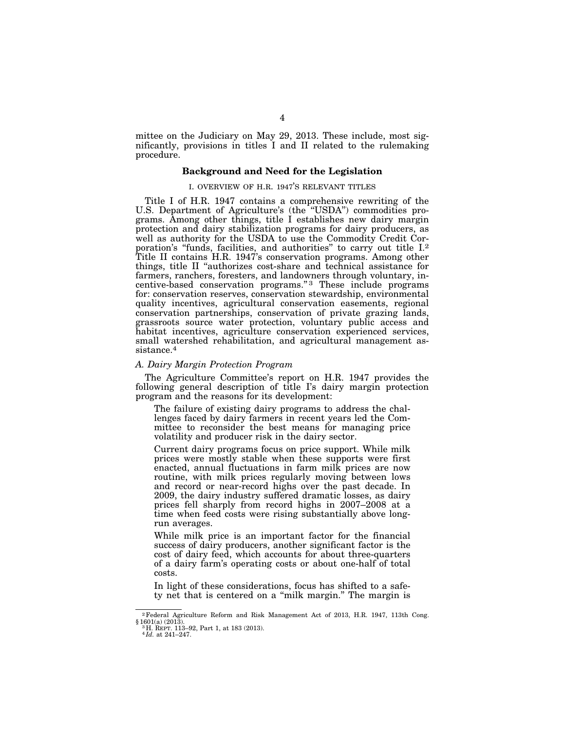mittee on the Judiciary on May 29, 2013. These include, most significantly, provisions in titles I and II related to the rulemaking procedure.

#### **Background and Need for the Legislation**

#### I. OVERVIEW OF H.R. 1947'S RELEVANT TITLES

Title I of H.R. 1947 contains a comprehensive rewriting of the U.S. Department of Agriculture's (the ''USDA'') commodities programs. Among other things, title I establishes new dairy margin protection and dairy stabilization programs for dairy producers, as well as authority for the USDA to use the Commodity Credit Corporation's "funds, facilities, and authorities" to carry out title I.<sup>2</sup> Title II contains H.R. 1947's conservation programs. Among other things, title II ''authorizes cost-share and technical assistance for farmers, ranchers, foresters, and landowners through voluntary, incentive-based conservation programs."<sup>3</sup> These include programs for: conservation reserves, conservation stewardship, environmental quality incentives, agricultural conservation easements, regional conservation partnerships, conservation of private grazing lands, grassroots source water protection, voluntary public access and habitat incentives, agriculture conservation experienced services, small watershed rehabilitation, and agricultural management assistance.4

#### *A. Dairy Margin Protection Program*

The Agriculture Committee's report on H.R. 1947 provides the following general description of title I's dairy margin protection program and the reasons for its development:

The failure of existing dairy programs to address the challenges faced by dairy farmers in recent years led the Committee to reconsider the best means for managing price volatility and producer risk in the dairy sector.

Current dairy programs focus on price support. While milk prices were mostly stable when these supports were first enacted, annual fluctuations in farm milk prices are now routine, with milk prices regularly moving between lows and record or near-record highs over the past decade. In 2009, the dairy industry suffered dramatic losses, as dairy prices fell sharply from record highs in 2007–2008 at a time when feed costs were rising substantially above longrun averages.

While milk price is an important factor for the financial success of dairy producers, another significant factor is the cost of dairy feed, which accounts for about three-quarters of a dairy farm's operating costs or about one-half of total costs.

In light of these considerations, focus has shifted to a safety net that is centered on a ''milk margin.'' The margin is

<sup>2</sup>Federal Agriculture Reform and Risk Management Act of 2013, H.R. 1947, 113th Cong. § 1601(a) (2013). 3 H. REPT. 113–92, Part 1, at 183 (2013). 4 *Id.* at 241–247.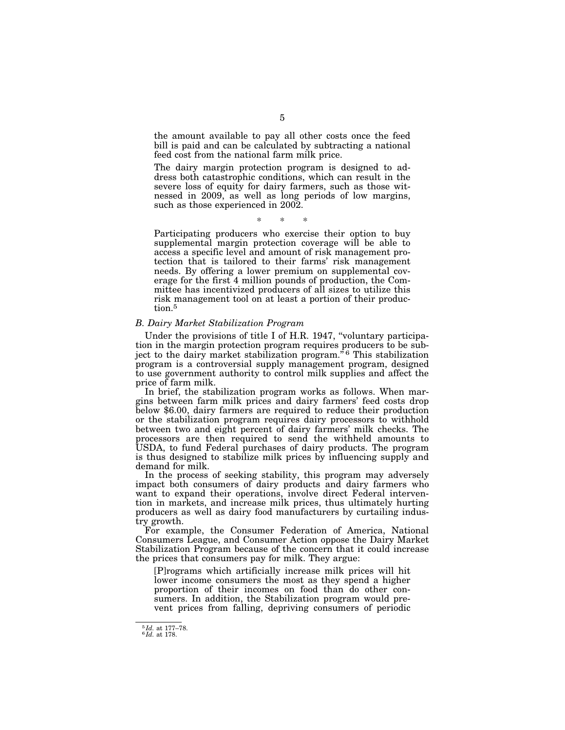the amount available to pay all other costs once the feed bill is paid and can be calculated by subtracting a national feed cost from the national farm milk price.

The dairy margin protection program is designed to address both catastrophic conditions, which can result in the severe loss of equity for dairy farmers, such as those witnessed in 2009, as well as long periods of low margins, such as those experienced in 2002.

\* \* \*

Participating producers who exercise their option to buy supplemental margin protection coverage will be able to access a specific level and amount of risk management protection that is tailored to their farms' risk management needs. By offering a lower premium on supplemental coverage for the first 4 million pounds of production, the Committee has incentivized producers of all sizes to utilize this risk management tool on at least a portion of their production.<sup>5</sup>

#### *B. Dairy Market Stabilization Program*

Under the provisions of title I of H.R. 1947, "voluntary participation in the margin protection program requires producers to be subject to the dairy market stabilization program."<sup>6</sup> This stabilization program is a controversial supply management program, designed to use government authority to control milk supplies and affect the price of farm milk.

In brief, the stabilization program works as follows. When margins between farm milk prices and dairy farmers' feed costs drop below \$6.00, dairy farmers are required to reduce their production or the stabilization program requires dairy processors to withhold between two and eight percent of dairy farmers' milk checks. The processors are then required to send the withheld amounts to USDA, to fund Federal purchases of dairy products. The program is thus designed to stabilize milk prices by influencing supply and demand for milk.

In the process of seeking stability, this program may adversely impact both consumers of dairy products and dairy farmers who want to expand their operations, involve direct Federal intervention in markets, and increase milk prices, thus ultimately hurting producers as well as dairy food manufacturers by curtailing industry growth.

For example, the Consumer Federation of America, National Consumers League, and Consumer Action oppose the Dairy Market Stabilization Program because of the concern that it could increase the prices that consumers pay for milk. They argue:

[P]rograms which artificially increase milk prices will hit lower income consumers the most as they spend a higher proportion of their incomes on food than do other consumers. In addition, the Stabilization program would prevent prices from falling, depriving consumers of periodic

<sup>5</sup> *Id.* at 177–78. 6 *Id.* at 178.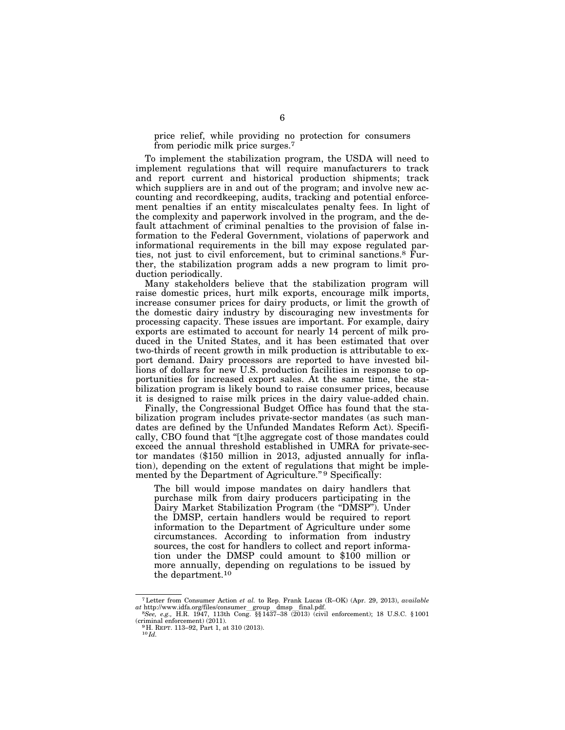price relief, while providing no protection for consumers from periodic milk price surges.7

To implement the stabilization program, the USDA will need to implement regulations that will require manufacturers to track and report current and historical production shipments; track which suppliers are in and out of the program; and involve new accounting and recordkeeping, audits, tracking and potential enforcement penalties if an entity miscalculates penalty fees. In light of the complexity and paperwork involved in the program, and the default attachment of criminal penalties to the provision of false information to the Federal Government, violations of paperwork and informational requirements in the bill may expose regulated parties, not just to civil enforcement, but to criminal sanctions.8 Further, the stabilization program adds a new program to limit production periodically.

Many stakeholders believe that the stabilization program will raise domestic prices, hurt milk exports, encourage milk imports, increase consumer prices for dairy products, or limit the growth of the domestic dairy industry by discouraging new investments for processing capacity. These issues are important. For example, dairy exports are estimated to account for nearly 14 percent of milk produced in the United States, and it has been estimated that over two-thirds of recent growth in milk production is attributable to export demand. Dairy processors are reported to have invested billions of dollars for new U.S. production facilities in response to opportunities for increased export sales. At the same time, the stabilization program is likely bound to raise consumer prices, because it is designed to raise milk prices in the dairy value-added chain.

Finally, the Congressional Budget Office has found that the stabilization program includes private-sector mandates (as such mandates are defined by the Unfunded Mandates Reform Act). Specifically, CBO found that ''[t]he aggregate cost of those mandates could exceed the annual threshold established in UMRA for private-sector mandates (\$150 million in 2013, adjusted annually for inflation), depending on the extent of regulations that might be implemented by the Department of Agriculture."<sup>9</sup> Specifically:

The bill would impose mandates on dairy handlers that purchase milk from dairy producers participating in the Dairy Market Stabilization Program (the "DMSP"). Under the DMSP, certain handlers would be required to report information to the Department of Agriculture under some circumstances. According to information from industry sources, the cost for handlers to collect and report information under the DMSP could amount to \$100 million or more annually, depending on regulations to be issued by the department.10

<sup>7</sup>Letter from Consumer Action *et al.* to Rep. Frank Lucas (R–OK) (Apr. 29, 2013), *available* 

*at http://www.idfa.org/files/consumer\_group\_dmsp\_final.pdf.* 875. (2013) (2014). 25, 2515.), acadiated at the *See, e.g.*, H.R. 1947, 113th Cong. §§ 1437–38 (2013) (civil enforcement); 18 U.S.C. § 1001 (criminal enforceme

<sup>&</sup>lt;sup>9</sup> H. REPT. 113–92, Part 1, at 310 (2013). <sup>10</sup> *Id.*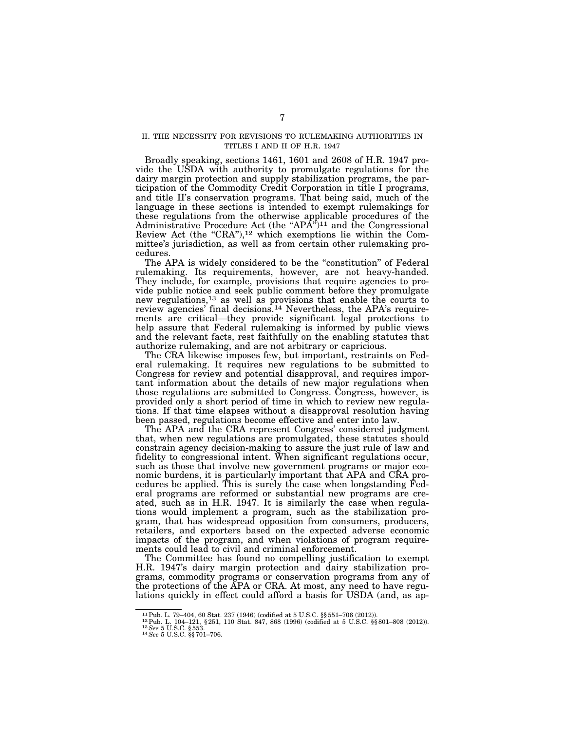#### II. THE NECESSITY FOR REVISIONS TO RULEMAKING AUTHORITIES IN TITLES I AND II OF H.R. 1947

Broadly speaking, sections 1461, 1601 and 2608 of H.R. 1947 provide the USDA with authority to promulgate regulations for the dairy margin protection and supply stabilization programs, the participation of the Commodity Credit Corporation in title I programs, and title II's conservation programs. That being said, much of the language in these sections is intended to exempt rulemakings for these regulations from the otherwise applicable procedures of the Administrative Procedure Act (the "APA")<sup>11</sup> and the Congressional Review Act (the "CRA"), $12$  which exemptions lie within the Committee's jurisdiction, as well as from certain other rulemaking procedures.

The APA is widely considered to be the "constitution" of Federal rulemaking. Its requirements, however, are not heavy-handed. They include, for example, provisions that require agencies to provide public notice and seek public comment before they promulgate new regulations,13 as well as provisions that enable the courts to review agencies' final decisions.14 Nevertheless, the APA's requirements are critical—they provide significant legal protections to help assure that Federal rulemaking is informed by public views and the relevant facts, rest faithfully on the enabling statutes that authorize rulemaking, and are not arbitrary or capricious.

The CRA likewise imposes few, but important, restraints on Federal rulemaking. It requires new regulations to be submitted to Congress for review and potential disapproval, and requires important information about the details of new major regulations when those regulations are submitted to Congress. Congress, however, is provided only a short period of time in which to review new regulations. If that time elapses without a disapproval resolution having been passed, regulations become effective and enter into law.

The APA and the CRA represent Congress' considered judgment that, when new regulations are promulgated, these statutes should constrain agency decision-making to assure the just rule of law and fidelity to congressional intent. When significant regulations occur, such as those that involve new government programs or major economic burdens, it is particularly important that APA and CRA procedures be applied. This is surely the case when longstanding Federal programs are reformed or substantial new programs are created, such as in H.R. 1947. It is similarly the case when regulations would implement a program, such as the stabilization program, that has widespread opposition from consumers, producers, retailers, and exporters based on the expected adverse economic impacts of the program, and when violations of program requirements could lead to civil and criminal enforcement.

The Committee has found no compelling justification to exempt H.R. 1947's dairy margin protection and dairy stabilization programs, commodity programs or conservation programs from any of the protections of the APA or CRA. At most, any need to have regulations quickly in effect could afford a basis for USDA (and, as ap-

 $^{11}\mathrm{Pub.}$ L. 79–404, 60 Stat. 237 (1946) (codified at 5 U.S.C. §§ 551–706 (2012)). $^{12}\mathrm{Pub.}$ L. 104–121, § 251, 110 Stat. 847, 868 (1996) (codified at 5 U.S.C. §§ 801–808 (2012)). $^{13}\mathrm{See}$ 5 U.S.C. §§53.  $^{14}\mathrm{See}$ 5 U.S.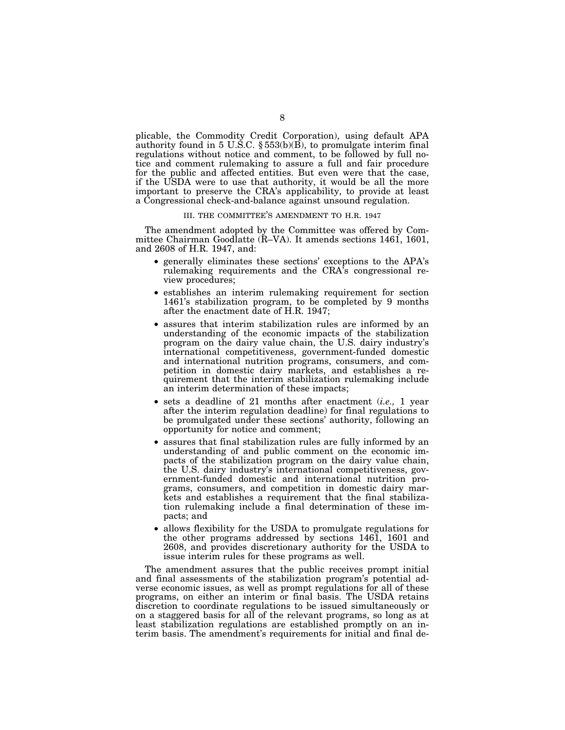plicable, the Commodity Credit Corporation), using default APA authority found in 5 U.S.C.  $\S 553(b)(B)$ , to promulgate interim final regulations without notice and comment, to be followed by full notice and comment rulemaking to assure a full and fair procedure for the public and affected entities. But even were that the case, if the USDA were to use that authority, it would be all the more important to preserve the CRA's applicability, to provide at least a Congressional check-and-balance against unsound regulation.

#### III. THE COMMITTEE'S AMENDMENT TO H.R. 1947

The amendment adopted by the Committee was offered by Committee Chairman Goodlatte (R–VA). It amends sections 1461, 1601, and 2608 of H.R. 1947, and:

- generally eliminates these sections' exceptions to the APA's rulemaking requirements and the CRA's congressional review procedures;
- establishes an interim rulemaking requirement for section 1461's stabilization program, to be completed by 9 months after the enactment date of H.R. 1947;
- assures that interim stabilization rules are informed by an understanding of the economic impacts of the stabilization program on the dairy value chain, the U.S. dairy industry's international competitiveness, government-funded domestic and international nutrition programs, consumers, and competition in domestic dairy markets, and establishes a requirement that the interim stabilization rulemaking include an interim determination of these impacts;
- sets a deadline of 21 months after enactment (*i.e.,* 1 year after the interim regulation deadline) for final regulations to be promulgated under these sections' authority, following an opportunity for notice and comment;
- assures that final stabilization rules are fully informed by an understanding of and public comment on the economic impacts of the stabilization program on the dairy value chain, the U.S. dairy industry's international competitiveness, government-funded domestic and international nutrition programs, consumers, and competition in domestic dairy markets and establishes a requirement that the final stabilization rulemaking include a final determination of these impacts; and
- allows flexibility for the USDA to promulgate regulations for the other programs addressed by sections 1461, 1601 and 2608, and provides discretionary authority for the USDA to issue interim rules for these programs as well.

The amendment assures that the public receives prompt initial and final assessments of the stabilization program's potential adverse economic issues, as well as prompt regulations for all of these programs, on either an interim or final basis. The USDA retains discretion to coordinate regulations to be issued simultaneously or on a staggered basis for all of the relevant programs, so long as at least stabilization regulations are established promptly on an interim basis. The amendment's requirements for initial and final de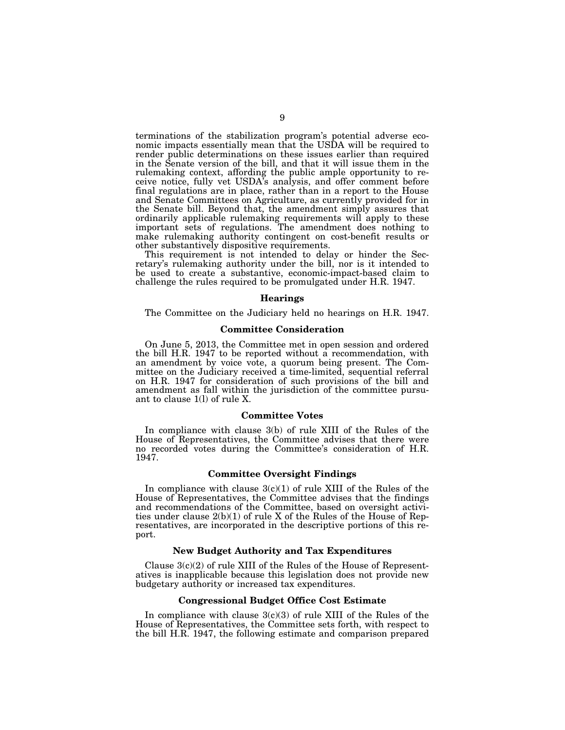terminations of the stabilization program's potential adverse economic impacts essentially mean that the USDA will be required to render public determinations on these issues earlier than required in the Senate version of the bill, and that it will issue them in the rulemaking context, affording the public ample opportunity to receive notice, fully vet USDA's analysis, and offer comment before final regulations are in place, rather than in a report to the House and Senate Committees on Agriculture, as currently provided for in the Senate bill. Beyond that, the amendment simply assures that ordinarily applicable rulemaking requirements will apply to these important sets of regulations. The amendment does nothing to make rulemaking authority contingent on cost-benefit results or other substantively dispositive requirements.

This requirement is not intended to delay or hinder the Secretary's rulemaking authority under the bill, nor is it intended to be used to create a substantive, economic-impact-based claim to challenge the rules required to be promulgated under H.R. 1947.

#### **Hearings**

The Committee on the Judiciary held no hearings on H.R. 1947.

#### **Committee Consideration**

On June 5, 2013, the Committee met in open session and ordered the bill H.R. 1947 to be reported without a recommendation, with an amendment by voice vote, a quorum being present. The Committee on the Judiciary received a time-limited, sequential referral on H.R. 1947 for consideration of such provisions of the bill and amendment as fall within the jurisdiction of the committee pursuant to clause 1(l) of rule X.

#### **Committee Votes**

In compliance with clause 3(b) of rule XIII of the Rules of the House of Representatives, the Committee advises that there were no recorded votes during the Committee's consideration of H.R. 1947.

#### **Committee Oversight Findings**

In compliance with clause  $3(c)(1)$  of rule XIII of the Rules of the House of Representatives, the Committee advises that the findings and recommendations of the Committee, based on oversight activities under clause 2(b)(1) of rule X of the Rules of the House of Representatives, are incorporated in the descriptive portions of this report.

#### **New Budget Authority and Tax Expenditures**

Clause 3(c)(2) of rule XIII of the Rules of the House of Representatives is inapplicable because this legislation does not provide new budgetary authority or increased tax expenditures.

#### **Congressional Budget Office Cost Estimate**

In compliance with clause  $3(c)(3)$  of rule XIII of the Rules of the House of Representatives, the Committee sets forth, with respect to the bill H.R. 1947, the following estimate and comparison prepared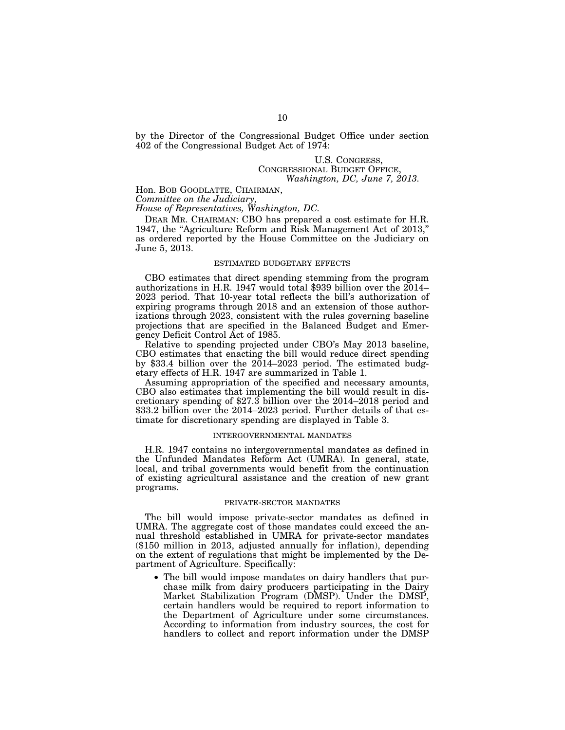by the Director of the Congressional Budget Office under section 402 of the Congressional Budget Act of 1974:

#### U.S. CONGRESS, CONGRESSIONAL BUDGET OFFICE, *Washington, DC, June 7, 2013.*

Hon. BOB GOODLATTE, CHAIRMAN,

*Committee on the Judiciary,* 

*House of Representatives, Washington, DC.* 

DEAR MR. CHAIRMAN: CBO has prepared a cost estimate for H.R. 1947, the "Agriculture Reform and Risk Management Act of 2013," as ordered reported by the House Committee on the Judiciary on June 5, 2013.

#### ESTIMATED BUDGETARY EFFECTS

CBO estimates that direct spending stemming from the program authorizations in H.R. 1947 would total \$939 billion over the 2014– 2023 period. That 10-year total reflects the bill's authorization of expiring programs through 2018 and an extension of those authorizations through 2023, consistent with the rules governing baseline projections that are specified in the Balanced Budget and Emergency Deficit Control Act of 1985.

Relative to spending projected under CBO's May 2013 baseline, CBO estimates that enacting the bill would reduce direct spending by \$33.4 billion over the  $2014-2023$  period. The estimated budgetary effects of H.R. 1947 are summarized in Table 1.

Assuming appropriation of the specified and necessary amounts, CBO also estimates that implementing the bill would result in discretionary spending of \$27.3 billion over the 2014–2018 period and \$33.2 billion over the 2014–2023 period. Further details of that estimate for discretionary spending are displayed in Table 3.

#### INTERGOVERNMENTAL MANDATES

H.R. 1947 contains no intergovernmental mandates as defined in the Unfunded Mandates Reform Act (UMRA). In general, state, local, and tribal governments would benefit from the continuation of existing agricultural assistance and the creation of new grant programs.

#### PRIVATE-SECTOR MANDATES

The bill would impose private-sector mandates as defined in UMRA. The aggregate cost of those mandates could exceed the annual threshold established in UMRA for private-sector mandates (\$150 million in 2013, adjusted annually for inflation), depending on the extent of regulations that might be implemented by the Department of Agriculture. Specifically:

• The bill would impose mandates on dairy handlers that purchase milk from dairy producers participating in the Dairy Market Stabilization Program (DMSP). Under the DMSP, certain handlers would be required to report information to the Department of Agriculture under some circumstances. According to information from industry sources, the cost for handlers to collect and report information under the DMSP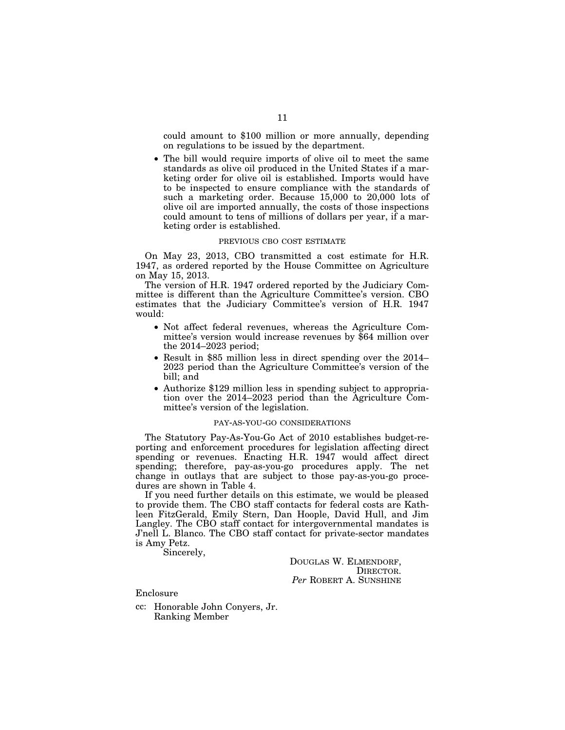could amount to \$100 million or more annually, depending on regulations to be issued by the department.

• The bill would require imports of olive oil to meet the same standards as olive oil produced in the United States if a marketing order for olive oil is established. Imports would have to be inspected to ensure compliance with the standards of such a marketing order. Because 15,000 to 20,000 lots of olive oil are imported annually, the costs of those inspections could amount to tens of millions of dollars per year, if a marketing order is established.

#### PREVIOUS CBO COST ESTIMATE

On May 23, 2013, CBO transmitted a cost estimate for H.R. 1947, as ordered reported by the House Committee on Agriculture on May 15, 2013.

The version of H.R. 1947 ordered reported by the Judiciary Committee is different than the Agriculture Committee's version. CBO estimates that the Judiciary Committee's version of H.R. 1947 would:

- Not affect federal revenues, whereas the Agriculture Committee's version would increase revenues by \$64 million over the 2014–2023 period;
- Result in \$85 million less in direct spending over the 2014– 2023 period than the Agriculture Committee's version of the bill; and
- Authorize \$129 million less in spending subject to appropriation over the 2014–2023 period than the Agriculture Committee's version of the legislation.

#### PAY-AS-YOU-GO CONSIDERATIONS

The Statutory Pay-As-You-Go Act of 2010 establishes budget-reporting and enforcement procedures for legislation affecting direct spending or revenues. Enacting H.R. 1947 would affect direct spending; therefore, pay-as-you-go procedures apply. The net change in outlays that are subject to those pay-as-you-go procedures are shown in Table 4.

If you need further details on this estimate, we would be pleased to provide them. The CBO staff contacts for federal costs are Kathleen FitzGerald, Emily Stern, Dan Hoople, David Hull, and Jim Langley. The CBO staff contact for intergovernmental mandates is J'nell L. Blanco. The CBO staff contact for private-sector mandates is Amy Petz.

Sincerely,

DOUGLAS W. ELMENDORF, DIRECTOR. *Per* ROBERT A. SUNSHINE

Enclosure

cc: Honorable John Conyers, Jr. Ranking Member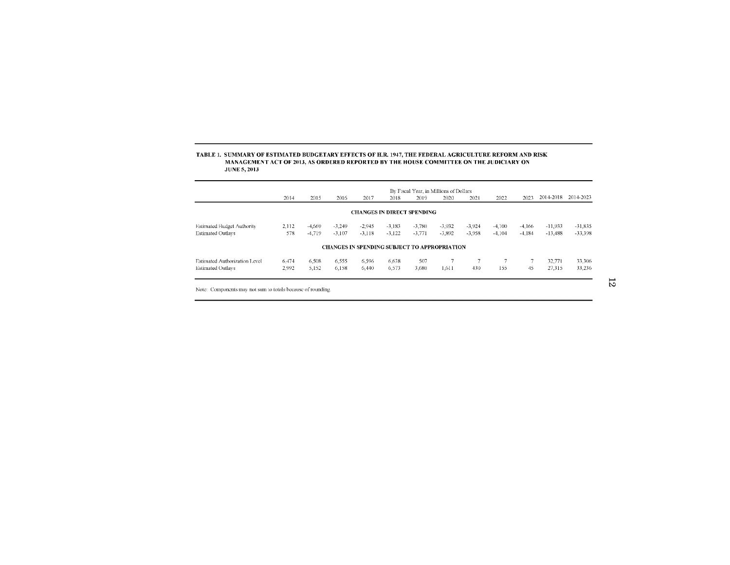### TABLE 1. SUMMARY OF ESTIMATED BUDGETARY EFFECTS OF H.R. 1947, THE FEDERAL AGRICULTURE REFORM AND RISK<br>MANAGEMENT ACT OF 2013, AS ORDERED REPORTED BY THE HOUSE COMMITTEE ON THE JUDICIARY ON **JUNE 5, 2013**

|                                      |       |          |          |                                                     |          |          | By Fiscal Year, in Millions of Dollars |          |          |          |           |           |
|--------------------------------------|-------|----------|----------|-----------------------------------------------------|----------|----------|----------------------------------------|----------|----------|----------|-----------|-----------|
|                                      | 2014  | 2015     | 2016     | 2017                                                | 2018     | 2019     | 2020                                   | 2021     | 2022     | 2023     | 2014-2018 | 2014-2023 |
|                                      |       |          |          | <b>CHANGES IN DIRECT SPENDING</b>                   |          |          |                                        |          |          |          |           |           |
| Estimated Budget Authority           | 2,112 | $-4.669$ | $-3.249$ | $-2.945$                                            | $-3.183$ | $-3.780$ | $-3.932$                               | $-3.924$ | $-4.100$ | $-4.166$ | $-11.933$ | $-31,835$ |
| <b>Estimated Outlavs</b>             | 578   | $-4.719$ | $-3.107$ | $-3.118$                                            | $-3.122$ | $-3,771$ | $-3,892$                               | $-3,958$ | $-4.104$ | $-4.184$ | $-13.488$ | $-33,398$ |
|                                      |       |          |          | <b>CHANGES IN SPENDING SUBJECT TO APPROPRIATION</b> |          |          |                                        |          |          |          |           |           |
| <b>Estimated Authorization Level</b> | 6.474 | 6.508    | 6.555    | 6.596                                               | 6.638    | 507      |                                        |          |          | 7        | 32,771    | 33.306    |
| <b>Estimated Outlays</b>             | 2.992 | 5,152    | 6,158    | 6.440                                               | 6.573    | 3.680    | 1.611                                  | 430      | 155      | 45       | 27,315    | 33,236    |
|                                      |       |          |          |                                                     |          |          |                                        |          |          |          |           |           |

Note: Components may not sum to totals because of rounding.

 $12\,$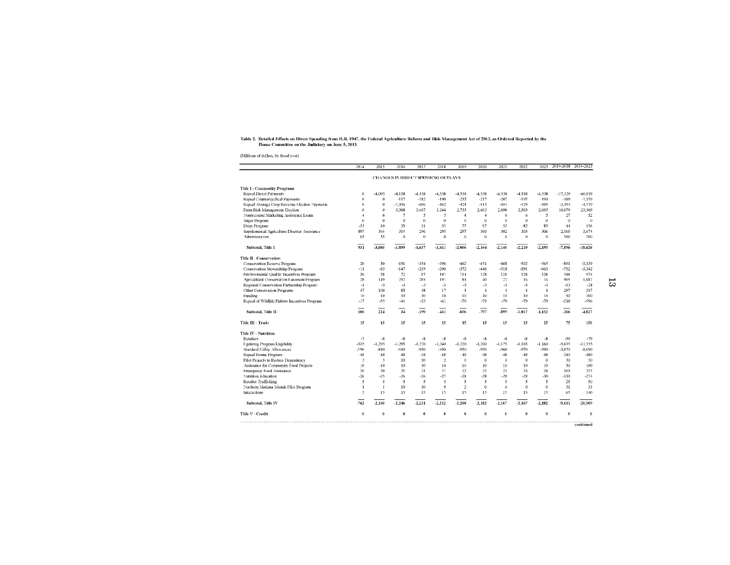# Table 2. Detailed Effects on Direct Spending from H.R. 1947, the Federal Agriculture Reform and Risk Management Act of 2013, as Ordered Reported by the<br>House Committee on the Judiciary on June 5, 2013

(Millions of dollars, by fiscal year)

| <b>Repeal Direct Payments</b><br>Repeal Countercyclical Payments<br>Repeal Average Crop Revenue Election Payments<br>Farm Risk Management Election<br>Nonrecourse Marketing Assistance Loans<br>Sugar Program | $\theta$<br>$\theta$<br>$\theta$<br>$\theta$<br>$\overline{4}$<br>$\theta$ | $-4,095$<br>$\theta$<br>$\bf{0}$<br>$\theta$<br>6 | CHANGES IN DIRECT SPENDING OUTLAYS<br>$-4.158$<br>$-117$<br>$-1.336$ | $-4.538$<br>$-182$ | $-4.538$       | $-4.538$       |                |                |                |                |           |           |
|---------------------------------------------------------------------------------------------------------------------------------------------------------------------------------------------------------------|----------------------------------------------------------------------------|---------------------------------------------------|----------------------------------------------------------------------|--------------------|----------------|----------------|----------------|----------------|----------------|----------------|-----------|-----------|
| <b>Title I - Commodity Programs</b>                                                                                                                                                                           |                                                                            |                                                   |                                                                      |                    |                |                |                |                |                |                |           |           |
|                                                                                                                                                                                                               |                                                                            |                                                   |                                                                      |                    |                |                |                |                |                |                |           |           |
|                                                                                                                                                                                                               |                                                                            |                                                   |                                                                      |                    |                |                | $-4.538$       | $-4.538$       | $-4.538$       | $-4.538$       | $-17.329$ | $-40.019$ |
|                                                                                                                                                                                                               |                                                                            |                                                   |                                                                      |                    | $-190$         | $-215$         | $-217$         | $-207$         | $-197$         | $-194$         | $-489$    | $-1.519$  |
|                                                                                                                                                                                                               |                                                                            |                                                   |                                                                      | $-696$             | $-462$         | $-424$         | $-413$         | $-454$         | $-429$         | $-505$         | $-2.494$  | $-4.719$  |
|                                                                                                                                                                                                               |                                                                            |                                                   | 3,368                                                                | 3.467              | 3.244          | 2,733          | 2.603          | 2.698          | 2.563          | 2.693          | 10,079    | 23,369    |
|                                                                                                                                                                                                               |                                                                            |                                                   | $\overline{7}$                                                       | 5                  | 5              | $\overline{4}$ | $\overline{4}$ | 6              | 6              | 5              | 27        | 52        |
|                                                                                                                                                                                                               |                                                                            | $\theta$                                          | $\theta$                                                             | $\theta$           | $\Omega$       | $\Omega$       | $\theta$       | $\theta$       | $\theta$       | $\theta$       | $\theta$  | $\theta$  |
| Dairy Program                                                                                                                                                                                                 | $-35$                                                                      | 10                                                | 23                                                                   | 11                 | 35             | 77             | 97             | 53             | 82             | 83             | 44        | 436       |
| Supplemental Agriculture Disaster Assistance                                                                                                                                                                  | 897                                                                        | 364                                               | 314                                                                  | 296                | 295            | 297            | 300            | 302            | 303            | 306            | 2.166     | 3.674     |
| Administration                                                                                                                                                                                                | 65                                                                         | 35                                                | $\mathbf{u}$                                                         | $\theta$           | $\ddot{o}$     | $\theta$       | $\theta$       | $\Omega$       | $\mathbf{u}$   | $\theta$       | 100       | 100       |
| Subtotal, Title I                                                                                                                                                                                             | 931                                                                        | -3.680                                            | $-1.899$                                                             | $-1.637$           | $-1.611$       | -2.066         | $-2.164$       | $-2.140$       | $-2.210$       | $-2,150$       | $-7.896$  | $-18.626$ |
| Title II - Conservation                                                                                                                                                                                       |                                                                            |                                                   |                                                                      |                    |                |                |                |                |                |                |           |           |
| <b>Conservation Reserve Program</b>                                                                                                                                                                           | 20                                                                         | 30                                                | $-191$                                                               | $-354$             | $-396$         | $-462$         | -451           | $-468$         | $-502$         | -565           | $-891$    | $-3.339$  |
| Conservation Stewardship Program                                                                                                                                                                              | -11                                                                        | $-85$                                             | $-147$                                                               | $-219$             | $-290$         | $-372$         | $-446$         | $-518$         | $-591$         | $-663$         | $-752$    | $-3.342$  |
| Environmental Quality Incentives Program                                                                                                                                                                      | 30                                                                         | 58                                                | 72                                                                   | 87                 | 101            | 114            | 128            | 128            | 128            | 128            | 348       | 974       |
| Agricultural Conservation Easement Program                                                                                                                                                                    | 28                                                                         | 149                                               | 252                                                                  | 285                | 191            | 83             | 40             | 27             | 16             | 16             | 905       | 1.087     |
| Regional Conservation Partnership Program                                                                                                                                                                     | $-1$                                                                       | $\cdot$ 3                                         | -3                                                                   | -3                 | $-3$           | -3             | -3             | $\cdot$ 3      | $-3$           | $-3$           | $-13$     | $-28$     |
| Other Conservation Programs                                                                                                                                                                                   | 47                                                                         | 100                                               | 85                                                                   | 48                 | 17             | $\overline{4}$ | $\overline{4}$ | $\overline{4}$ | $\overline{4}$ | $\overline{4}$ | 297       | 317       |
| Funding                                                                                                                                                                                                       | 10                                                                         | 10                                                | 10                                                                   | 10                 | 10             | 10             | 10             | 10             | 10             | 10             | 50        | 100       |
| Repeal of Wildlife Habitat Incentives Program                                                                                                                                                                 | $-17$                                                                      | $-35$                                             | $-44$                                                                | $-53$              | $-61$          | $-70$          | $-79$          | $-79$          | $-79$          | $-79$          | $-210$    | -596      |
| Subtotal, Title II                                                                                                                                                                                            | 106                                                                        | 224                                               | 34                                                                   | $-199$             | $-431$         | -696           | -797           | 899            | $-1.017$       | $-1,152$       | $-266$    | $-4.827$  |
| Title III - Trade                                                                                                                                                                                             | 15                                                                         | 15                                                | 15                                                                   | 15                 | 15             | 15             | 15             | 15             | 15             | 15             | 75        | 150       |
| <b>Title IV - Nutrition</b>                                                                                                                                                                                   |                                                                            |                                                   |                                                                      |                    |                |                |                |                |                |                |           |           |
| Retailers                                                                                                                                                                                                     | $-7$                                                                       | $-8$                                              | $-8$                                                                 | $-8$               | $-8$           | $-8$           | -8             | $-8$           | $-8$           | $-8$           | $-39$     | $-79$     |
| <b>Updating Program Eligibility</b>                                                                                                                                                                           | $-535$                                                                     | $-1.295$                                          | $-1.295$                                                             | $-1.270$           | $-1,240$       | $-1,220$       | $-1,200$       | $-1,175$       | $-1.165$       | $-1.160$       | $-5,635$  | $-11.555$ |
| Standard Utility Allowances                                                                                                                                                                                   | -190                                                                       | $-840$                                            | $-940$                                                               | $-950$             | $-950$         | $-950$         | -950           | -960           | $-970$         | $-990$         | $-3,870$  | $-8.690$  |
| Repeal Bonus Program                                                                                                                                                                                          | $-48$                                                                      | $-48$                                             | $-48$                                                                | $-48$              | $-48$          | $-48$          | $-48$          | $-48$          | $-48$          | $-48$          | $-240$    | $-480$    |
| Pilot Projects to Reduce Dependency                                                                                                                                                                           | 3                                                                          | 5                                                 | 10                                                                   | 10                 | $\overline{2}$ | $\Omega$       | $\theta$       | $\theta$       | $\theta$       | $\theta$       | 30        | 30        |
| Assistance for Community Food Projects                                                                                                                                                                        | 10                                                                         | 10                                                | 10                                                                   | 10                 | 10             | 10             | 10             | 10             | 10             | 10             | 50        | 100       |
| Emergency Food Assistance                                                                                                                                                                                     | 20                                                                         | 20                                                | 21                                                                   | 21                 | 21             | 22             | 22             | 23             | 23             | 24             | 103       | 217       |
| Nutrition Education                                                                                                                                                                                           | -26                                                                        | $-25$                                             | $-26$                                                                | $-26$              | $-27$          | $-28$          | $-28$          | -29            | -29            | $-30$          | $-130$    | $-274$    |
| Retailer Trafficking                                                                                                                                                                                          | 5                                                                          | 5                                                 | 5                                                                    | 5                  | 5              | 5              | 5              | 5              | 5              | 5              | 25        | 50        |
| Northern Mariana Islands Pilot Program                                                                                                                                                                        | $\mathbf{1}$                                                               | $\mathbf{1}$                                      | 10                                                                   | 10                 | 9              | $\overline{2}$ | $\bf{0}$       | $\mathbf 0$    | $\bf{0}$       | $\theta$       | 31        | 33        |
| Interactions                                                                                                                                                                                                  | $\ddot{\sigma}$                                                            | 15                                                | 15                                                                   | 15                 | 15             | 15             | 15             | 15             | 15             | 15             | 65        | 140       |
| Subtotal, Title IV                                                                                                                                                                                            | -762                                                                       | $-2.160$                                          | $-2.246$                                                             | $-2.231$           | $-2,212$       | $-2,200$       | $-2,182$       | $-2.167$       | $-2.167$       | $-2,182$       | $-9,611$  | $-20,509$ |
| Title V - Credit                                                                                                                                                                                              | $\theta$                                                                   | $\theta$                                          | 0                                                                    | $\theta$           | 0              | $\theta$       | $\theta$       | $\theta$       | $\theta$       | $\bf{0}$       | Ď         | $\theta$  |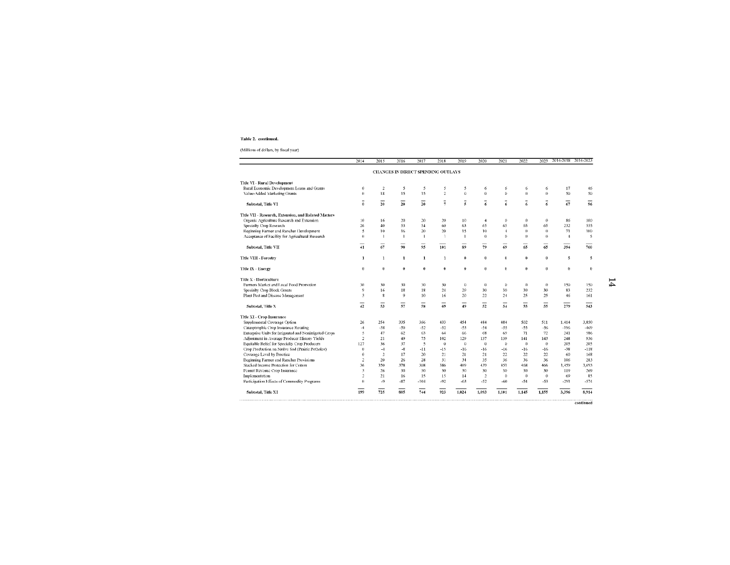#### Table 2. continued.

#### (Millions of dollars, by fiscal year)

|                                                        | 2014                | 2015           | 2016                                | 2017            | 2018                | 2019            | 2020           | 2021           | 2022          | 2023         | 2014-2018 2014-2023 |       |
|--------------------------------------------------------|---------------------|----------------|-------------------------------------|-----------------|---------------------|-----------------|----------------|----------------|---------------|--------------|---------------------|-------|
|                                                        |                     |                | CIIANGES IN DIRECT SPENDING OUTLAYS |                 |                     |                 |                |                |               |              |                     |       |
| Title VI - Rural Development                           |                     |                |                                     |                 |                     |                 |                |                |               |              |                     |       |
| Rural Economic Development Loans and Grants            | $\theta$            | $\overline{2}$ | 5                                   | 5               | 5                   | 5               | 6              | 6              | 6             | 6            | 17                  |       |
| Value-Added Marketing Grants                           | $\theta$            | 18             | 15                                  | 15              | $\overline{c}$      | $\mathbf{0}$    | $\bf{0}$       | $\Omega$       | $\mathbf{0}$  | $\mathbf{0}$ | 50                  |       |
| Subtotal, Title VI                                     | $\bf{0}$            | 20             | $\overline{20}$                     | $\overline{20}$ | $\frac{1}{7}$       | $\overline{s}$  | $\frac{1}{6}$  | $\overline{6}$ | $\frac{1}{6}$ | 6            | 67                  |       |
| Title VII - Research, Extension, and Related Matters   |                     |                |                                     |                 |                     |                 |                |                |               |              |                     |       |
| Organic Agriculture Research and Extension             | 10                  | 16             | 20                                  | 20              | 20                  | 10 <sup>°</sup> | $\overline{4}$ | $\circ$        | 0             | $\theta$     | 86                  |       |
| Specialty Crop Research                                | 26                  | 40             | 53                                  | 54              | 60                  | 63              | 65             | 65             | 65            | 65           | 232                 |       |
| Beginning Farmer and Rancher Development               | $\overline{5}$      | 10             | 16                                  | 20              | 20                  | 15              | 10             | $\overline{1}$ | $\bf{0}$      | $\theta$     | 71                  |       |
| Acceptance of Facility for Agricultural Research       | $\theta$            | $\mathbf{1}$   | $\mathbf{I}$                        | $\mathbf{1}$    | $\mathbf{1}$        | $\mathbf{I}$    | $\theta$       | $^{\circ}$     | $\theta$      | $\theta$     | $\overline{4}$      |       |
| Subtotal, Title VII                                    | 41                  | -<br>67        | 90                                  | -<br>95         | 101                 | 89              | 79             | 69             | 65            | 65           | 394                 |       |
| Title VIII - Forestry                                  | $\mathbf{1}$        | $\mathbf{1}$   | 1                                   | 1               | $\mathbf{1}$        | $\theta$        | $\theta$       | $\theta$       | 0             | $\bf{0}$     | 5                   |       |
| Title IX - Energy                                      | $\bf{0}$            | $\bf{0}$       | 0                                   | $\theta$        | $\bf{0}$            | $\bf{0}$        | $\bf{0}$       | $\theta$       | 0             | $\bf{0}$     | $\mathbf{D}$        |       |
| Title X - Horticulture                                 |                     |                |                                     |                 |                     |                 |                |                |               |              |                     |       |
| Farmers Market and Local Food Promotion                | 30                  | 30             | 30                                  | 30              | 30                  | $\Omega$        | $\bf{0}$       | $\Omega$       | $\mathbf{0}$  | $\theta$     | 150                 |       |
| Specialty Crop Block Grants                            | $^{9}$              | 16             | 18                                  | 18              | 24                  | 29              | 30             | 30             | 30            | 30           | 83                  |       |
| Plant Pest and Disease Management                      | $\overline{3}$      | $\bf{8}$       | $\mathfrak{g}$                      | 10              | 16                  | 20              | 22             | 24             | 25            | 25           | 46                  |       |
| Subtotal, Title X                                      | 42                  | -<br>53        | 57                                  | 58              | 69                  | 49              | 52             | 54             | 55            | 55           | 279                 |       |
| <b>Title XI - Crop Insurance</b>                       |                     |                |                                     |                 |                     |                 |                |                |               |              |                     |       |
| Supplemental Coverage Option                           | 26                  | 254            | 335                                 | 366             | 433                 | 454             | 484            | 484            | 502           | 511          | 1.414               |       |
| Catasptrophic Crop Insurance Rerating                  | $-4$                | $-38$          | $-50$                               | $-52$           | $-52$               | $-53$           | $-54$          | -55            | $-55$         | $-56$        | $-196$              |       |
| Enterprise Units for Irriganted and Nonirrigated Crops | $\ddot{\mathbf{5}}$ | 47             | 62                                  | 63              | 64                  | 66              | 68             | 69             | 71            | 72           | 241                 |       |
| Adjustment in Average Producer History Yields          | $\overline{2}$      | 21             | 49                                  | 75              | 102                 | 129             | 137            | 139            | 141           | 143          | 248                 |       |
| Equitable Relief for Specialty Crop Producers          | 127                 | 36             | 37                                  | 5               | $\ddot{\mathbf{O}}$ | $\Omega$        | $\bf{0}$       | $\mathbf 0$    | $\theta$      | $\theta$     | 205                 |       |
| Crop Production on Native Sod (Prairic Potholes)       | $\theta$            | $-4$           | $-8$                                | $-11$           | $-15$               | $-16$           | $-16$          | -16            | $-16$         | $-16$        | $-38$               |       |
| Coverage Level by Practice                             | $\bf{0}$            | $\overline{2}$ | 17                                  | 20              | 21                  | 21              | 21             | 22             | 22            | $22\,$       | 60                  |       |
| Beginning Farmer and Rancher Provisions                | $\overline{2}$      | 20             | 26                                  | 28              | 31                  | 34              | 35             | 36             | 36            | 36           | 106                 |       |
| Stacked Income Protection for Cotton                   | 36                  | 350            | 378                                 | 308             | 386                 | 409             | 439            | 451            | 468           | 466          | 1,459               |       |
| Peanut Revenue Crop Insurance                          | $\overline{3}$      | 26             | 30                                  | 30              | 30                  | 30              | 30             | 30             | 30            | 30           | 119                 |       |
| Implementation                                         | $\overline{2}$      | 21             | 16                                  | 15              | 15                  | 14              | $\overline{c}$ | $\theta$       | $\theta$      | $\theta$     | 69                  |       |
| Participation Effects of Commodity Programs            | $\theta$            | $-9$           | $-87$                               | $-104$          | $-92$               | $-63$           | $-52$          | $-60$          | $-54$         | $-53$        | $-291$              |       |
| Subtotal, Title XI                                     | 199                 | 725            | 805                                 | 744             | 923                 | 1,024           | 1,093          | 1,101          | 1,145         | 1,155        | 3,396               | 8,914 |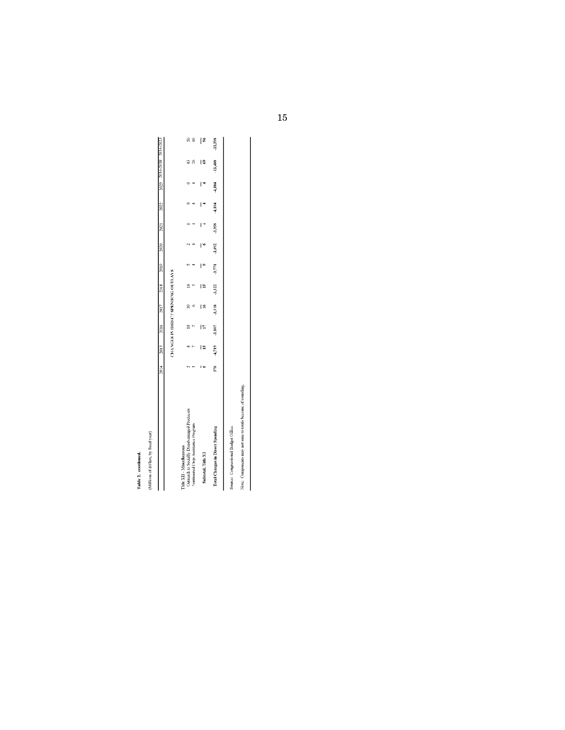# Table 2. continued.

(Millions of dollars, by fiscal year)

 $\begin{array}{c} \hline \end{array}$ 

|                                                                           |     |                                                                                                                |    |           |  |  | ECO2-b102 8102-b102 2022 2022 12022 02022 01022 81022 21022 21022 21022 21022 1102                   |               |
|---------------------------------------------------------------------------|-----|----------------------------------------------------------------------------------------------------------------|----|-----------|--|--|------------------------------------------------------------------------------------------------------|---------------|
|                                                                           |     | CHANGES IN DIRECT SPENDING OUTLAYS                                                                             |    |           |  |  |                                                                                                      |               |
| Outreach to Socially Disadvantaged Producers<br>Title XII - Miscollanoous |     | $\approx$                                                                                                      |    | $\approx$ |  |  |                                                                                                      | 50            |
| Nominsured Crop Assistance Program                                        |     |                                                                                                                |    |           |  |  | 26                                                                                                   | $\frac{6}{4}$ |
| Subtotal, Title XI                                                        | l S | E                                                                                                              | ١× | l S       |  |  | l S                                                                                                  | ៖             |
| Total Changes in Direct Spending                                          |     | SS - TELP - 2011년 - 2011년 - 2011년 - 2012년 - 2013년 - 2013년 - 2012년 - 2012년 - 2012년 - 2012년 - 2012년 - 2012년 - 20 |    |           |  |  | -3,958, -1,194, -1,184, -1,1958, -1,1958, -1,1958, -1,1958, -1,1958, -1,1958, -1,1958, -1,1958, -1,1 | -33,398       |
| Source: Congressional Budget Office.                                      |     |                                                                                                                |    |           |  |  |                                                                                                      |               |

Note: Components may not sum to totals because of rounding.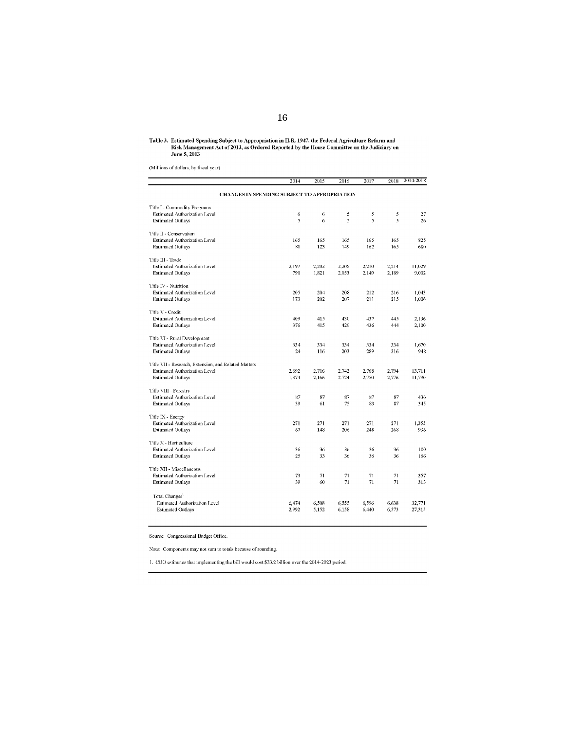# Table 3. Estimated Spending Subject to Appropriation in II.R. 1947, the Federal Agriculture Reform and<br>Risk Management Act of 2013, as Ordered Reported by the House Committee on the Judiciary on<br>June 5, 2013

(Millions of dollars, by fiscal year)

|                                                      | 2014                                         | 2015  | 2016  | 2017  | 2018  | 2014-2018 |
|------------------------------------------------------|----------------------------------------------|-------|-------|-------|-------|-----------|
|                                                      | CHANGES IN SPENDING SUBJECT TO APPROPRIATION |       |       |       |       |           |
| Title I - Commodity Programs                         |                                              |       |       |       |       |           |
| Estimated Authorization Level                        | 6                                            | 6     | 5     | 5     | 5     | 27        |
| <b>Estimated Outlays</b>                             | 5                                            | 6     | 5     | 5     | 5     | 26        |
| Title II - Conservation                              |                                              |       |       |       |       |           |
| <b>Estimated Authorization Level</b>                 | 165                                          | 165   | 165   | 165   | 165   | 825       |
| <b>Estimated Outlays</b>                             | 81                                           | 123   | 149   | 162   | 165   | 680       |
| Title III - Trade                                    |                                              |       |       |       |       |           |
| Estimated Authorization Level                        | 2,197                                        | 2,202 | 2.206 | 2,210 | 2,214 | 11,029    |
| <b>Estimated Outlays</b>                             | 790                                          | 1,821 | 2.053 | 2,149 | 2,189 | 9,002     |
| Title IV - Nutrition                                 |                                              |       |       |       |       |           |
| <b>Estimated Authorization Level</b>                 | 205                                          | 204   | 208   | 212   | 216   | 1.043     |
| <b>Estimated Outlays</b>                             | 173                                          | 202   | 207   | 211   | 215   | 1,006     |
| Title V - Credit                                     |                                              |       |       |       |       |           |
| <b>Estimated Authorization Level</b>                 | 409                                          | 415   | 430   | 437   | 445   | 2,136     |
| <b>Estimated Outlays</b>                             | 376                                          | 415   | 429   | 436   | 444   | 2,100     |
| Title VI - Rural Development                         |                                              |       |       |       |       |           |
| Estimated Authorization Level                        | 334                                          | 334   | 334   | 334   | 334   | 1.670     |
| <b>Estimated Outlays</b>                             | 24                                           | 116   | 203   | 289   | 316   | 948       |
| Title VII - Research, Extension, and Related Matters |                                              |       |       |       |       |           |
| <b>Estimated Authorization Level</b>                 | 2.692                                        | 2.716 | 2.742 | 2.768 | 2.794 | 13.711    |
| <b>Estimated Outlays</b>                             | 1,374                                        | 2,166 | 2.724 | 2,750 | 2,776 | 11,790    |
| Title VIII - Forestry                                |                                              |       |       |       |       |           |
| Estimated Authorization Level                        | 87                                           | 87    | 87    | 87    | 87    | 436       |
| <b>Estimated Outlays</b>                             | 39                                           | 61    | 75    | 83    | 87    | 345       |
| Title IX - Energy                                    |                                              |       |       |       |       |           |
| <b>Estimated Authorization Level</b>                 | 271                                          | 271   | 271   | 271   | 271   | 1,355     |
| <b>Estimated Outlays</b>                             | 67                                           | 148   | 206   | 248   | 268   | 936       |
| Title X - Horticulture                               |                                              |       |       |       |       |           |
| <b>Estimated Authorization Level</b>                 | 36                                           | 36    | 36    | 36    | 36    | 180       |
| <b>Estimated Outlays</b>                             | 25                                           | 33    | 36    | 36    | 36    | 166       |
| Title XII - Miscellaneous                            |                                              |       |       |       |       |           |
| Estimated Authorization Level                        | 73                                           | 71    | 71    | 71    | 71    | 357       |
| <b>Estimated Outlays</b>                             | 39                                           | 60    | 71    | 71    | 71    | 313       |
| Total Changes <sup>1</sup>                           |                                              |       |       |       |       |           |
| Estimated Authorization Level                        | 6,474                                        | 6,508 | 6.555 | 6,596 | 6,638 | 32,771    |
| <b>Estimated Outlays</b>                             | 2,992                                        | 5.152 | 6.158 | 6,440 | 6,573 | 27,315    |

Source: Congressional Budget Office.

Note: Components may not sum to totals because of rounding.

1. CBO estimates that implementing the bill would cost \$33.2 billion over the 2014-2023 period.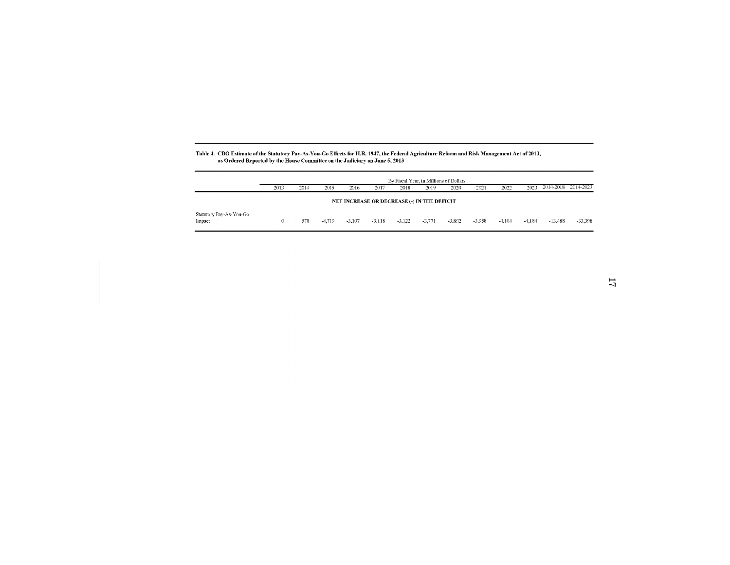#### Table 4. CBO Estimate of the Statutory Pay-As-You-Go Effects for H.R. 1947, the Federal Agriculture Reform and Risk Management Act of 2013, as Ordered Reported by the House Committee on the Judiciary on June 5, 2013

|                                   | 2013 | 2014 | 2015   | 2016     | 2017     | By Fiscal Year, in Millions of Dollars<br>2018 | 2019     | 2020     | 2021     | 2022     | 2023     | 2014-2018 2014-2023 |         |
|-----------------------------------|------|------|--------|----------|----------|------------------------------------------------|----------|----------|----------|----------|----------|---------------------|---------|
|                                   |      |      |        |          |          | NET INCREASE OR DECREASE (-) IN THE DEFICIT    |          |          |          |          |          |                     |         |
| Statutory Pay-As-You-Go<br>Inpact |      | 578  | -4.719 | $-3.107$ | $-3.118$ | $-3.122$                                       | $-3,771$ | $-3.892$ | $-3.958$ | $-4.104$ | $-4.184$ | $-13.488$           | -33,398 |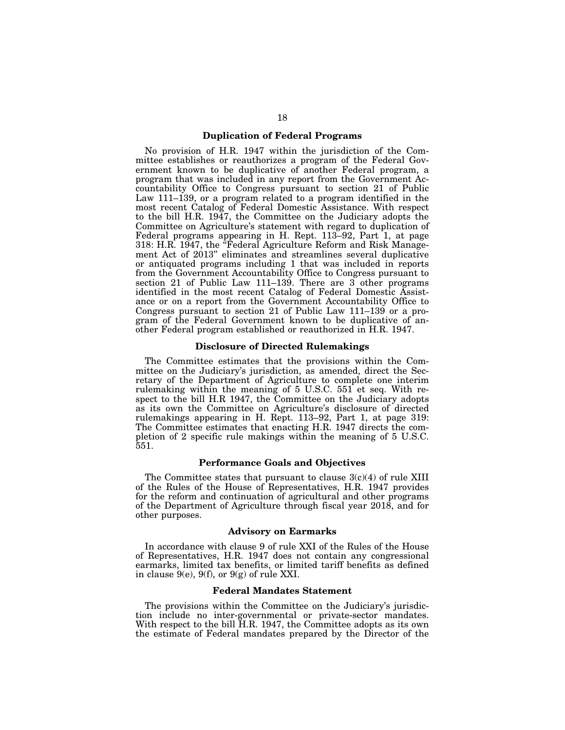#### **Duplication of Federal Programs**

No provision of H.R. 1947 within the jurisdiction of the Committee establishes or reauthorizes a program of the Federal Government known to be duplicative of another Federal program, a program that was included in any report from the Government Accountability Office to Congress pursuant to section 21 of Public Law 111–139, or a program related to a program identified in the most recent Catalog of Federal Domestic Assistance. With respect to the bill H.R. 1947, the Committee on the Judiciary adopts the Committee on Agriculture's statement with regard to duplication of Federal programs appearing in H. Rept. 113–92, Part 1, at page 318: H.R. 1947, the ''Federal Agriculture Reform and Risk Management Act of 2013'' eliminates and streamlines several duplicative or antiquated programs including 1 that was included in reports from the Government Accountability Office to Congress pursuant to section 21 of Public Law 111–139. There are 3 other programs identified in the most recent Catalog of Federal Domestic Assistance or on a report from the Government Accountability Office to Congress pursuant to section 21 of Public Law 111–139 or a program of the Federal Government known to be duplicative of another Federal program established or reauthorized in H.R. 1947.

#### **Disclosure of Directed Rulemakings**

The Committee estimates that the provisions within the Committee on the Judiciary's jurisdiction, as amended, direct the Secretary of the Department of Agriculture to complete one interim rulemaking within the meaning of 5 U.S.C. 551 et seq. With respect to the bill H.R 1947, the Committee on the Judiciary adopts as its own the Committee on Agriculture's disclosure of directed rulemakings appearing in H. Rept. 113–92, Part 1, at page 319: The Committee estimates that enacting H.R. 1947 directs the completion of 2 specific rule makings within the meaning of 5 U.S.C. 551.

#### **Performance Goals and Objectives**

The Committee states that pursuant to clause  $3(c)(4)$  of rule XIII of the Rules of the House of Representatives, H.R. 1947 provides for the reform and continuation of agricultural and other programs of the Department of Agriculture through fiscal year 2018, and for other purposes.

#### **Advisory on Earmarks**

In accordance with clause 9 of rule XXI of the Rules of the House of Representatives, H.R. 1947 does not contain any congressional earmarks, limited tax benefits, or limited tariff benefits as defined in clause  $9(e)$ ,  $9(f)$ , or  $9(g)$  of rule XXI.

#### **Federal Mandates Statement**

The provisions within the Committee on the Judiciary's jurisdiction include no inter-governmental or private-sector mandates. With respect to the bill H.R. 1947, the Committee adopts as its own the estimate of Federal mandates prepared by the Director of the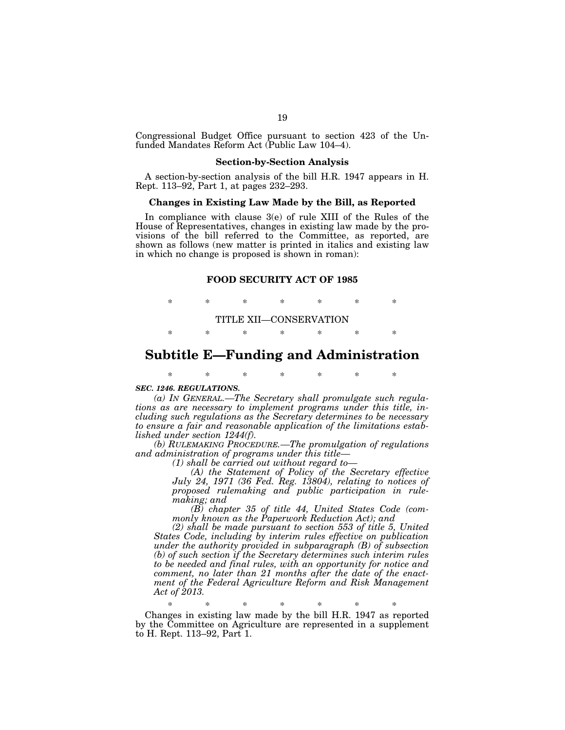Congressional Budget Office pursuant to section 423 of the Unfunded Mandates Reform Act (Public Law 104–4).

#### **Section-by-Section Analysis**

A section-by-section analysis of the bill H.R. 1947 appears in H. Rept. 113–92, Part 1, at pages 232–293.

#### **Changes in Existing Law Made by the Bill, as Reported**

In compliance with clause 3(e) of rule XIII of the Rules of the House of Representatives, changes in existing law made by the provisions of the bill referred to the Committee, as reported, are shown as follows (new matter is printed in italics and existing law in which no change is proposed is shown in roman):

#### **FOOD SECURITY ACT OF 1985**

\* \* \* \* \* \* \* TITLE XII—CONSERVATION \* \* \* \* \* \* \*

## **Subtitle E—Funding and Administration**

\* \* \* \* \* \* \*

#### *SEC. 1246. REGULATIONS.*

*(a) IN GENERAL.—The Secretary shall promulgate such regulations as are necessary to implement programs under this title, including such regulations as the Secretary determines to be necessary to ensure a fair and reasonable application of the limitations established under section 1244(f).* 

*(b) RULEMAKING PROCEDURE.—The promulgation of regulations and administration of programs under this title—* 

*(1) shall be carried out without regard to—* 

*(A) the Statement of Policy of the Secretary effective July 24, 1971 (36 Fed. Reg. 13804), relating to notices of proposed rulemaking and public participation in rulemaking; and* 

*(B) chapter 35 of title 44, United States Code (commonly known as the Paperwork Reduction Act); and* 

*(2) shall be made pursuant to section 553 of title 5, United States Code, including by interim rules effective on publication under the authority provided in subparagraph (B) of subsection (b) of such section if the Secretary determines such interim rules to be needed and final rules, with an opportunity for notice and comment, no later than 21 months after the date of the enactment of the Federal Agriculture Reform and Risk Management Act of 2013.* 

\* \* \* \* \* \* \*

Changes in existing law made by the bill H.R. 1947 as reported by the Committee on Agriculture are represented in a supplement to H. Rept. 113–92, Part 1.